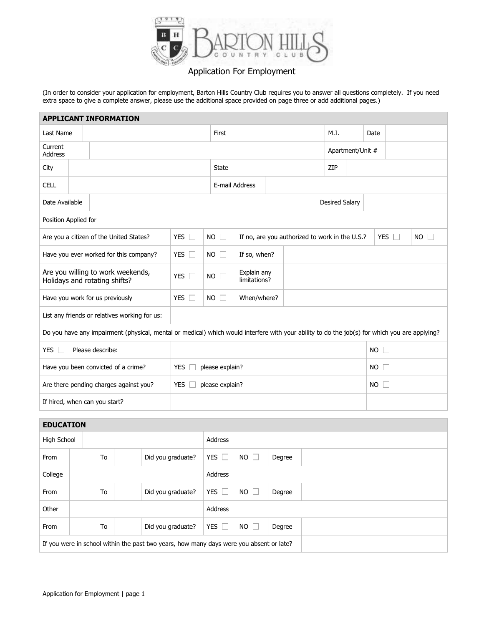

## Application For Employment

(In order to consider your application for employment, Barton Hills Country Club requires you to answer all questions completely. If you need extra space to give a complete answer, please use the additional space provided on page three or add additional pages.)

|                                                                                                                                               |                |            | <b>APPLICANT INFORMATION</b> |                 |                                                |      |                       |                     |                     |            |              |  |  |  |  |
|-----------------------------------------------------------------------------------------------------------------------------------------------|----------------|------------|------------------------------|-----------------|------------------------------------------------|------|-----------------------|---------------------|---------------------|------------|--------------|--|--|--|--|
| Last Name                                                                                                                                     | First          |            |                              |                 |                                                | M.I. |                       | Date                |                     |            |              |  |  |  |  |
| Current<br><b>Address</b>                                                                                                                     |                |            |                              |                 |                                                |      | Apartment/Unit #      |                     |                     |            |              |  |  |  |  |
| City                                                                                                                                          |                |            |                              | <b>State</b>    |                                                |      | ZIP                   |                     |                     |            |              |  |  |  |  |
| <b>CELL</b>                                                                                                                                   |                |            |                              | E-mail Address  |                                                |      |                       |                     |                     |            |              |  |  |  |  |
|                                                                                                                                               | Date Available |            |                              |                 |                                                |      | <b>Desired Salary</b> |                     |                     |            |              |  |  |  |  |
| Position Applied for                                                                                                                          |                |            |                              |                 |                                                |      |                       |                     |                     |            |              |  |  |  |  |
| Are you a citizen of the United States?                                                                                                       |                | YES $\Box$ |                              | $NO \square$    | If no, are you authorized to work in the U.S.? |      |                       |                     |                     | YES $\Box$ | $NO \square$ |  |  |  |  |
| Have you ever worked for this company?                                                                                                        |                | YES $\Box$ |                              | $NO$ $\Box$     | If so, when?                                   |      |                       |                     |                     |            |              |  |  |  |  |
| Are you willing to work weekends,<br>Holidays and rotating shifts?                                                                            |                | YES $\Box$ |                              | $NO \Box$       | Explain any<br>limitations?                    |      |                       |                     |                     |            |              |  |  |  |  |
| Have you work for us previously                                                                                                               |                | YES $\Box$ |                              | $NO$ $\Box$     | When/where?                                    |      |                       |                     |                     |            |              |  |  |  |  |
| List any friends or relatives working for us:                                                                                                 |                |            |                              |                 |                                                |      |                       |                     |                     |            |              |  |  |  |  |
| Do you have any impairment (physical, mental or medical) which would interfere with your ability to do the job(s) for which you are applying? |                |            |                              |                 |                                                |      |                       |                     |                     |            |              |  |  |  |  |
| <b>YES</b><br>Please describe:                                                                                                                |                |            |                              |                 |                                                |      |                       |                     | <b>NO</b><br>$\Box$ |            |              |  |  |  |  |
| Have you been convicted of a crime?<br><b>YES</b>                                                                                             |                |            |                              | please explain? |                                                |      |                       | <b>NO</b><br>$\Box$ |                     |            |              |  |  |  |  |
| Are there pending charges against you?<br><b>YES</b>                                                                                          |                |            |                              | please explain? |                                                |      |                       |                     | <b>NO</b><br>$\Box$ |            |              |  |  |  |  |
| If hired, when can you start?                                                                                                                 |                |            |                              |                 |                                                |      |                       |                     |                     |            |              |  |  |  |  |

## **EDUCATION**

| High School                                                                             |  |    |  |                   | Address        |                     |        |  |
|-----------------------------------------------------------------------------------------|--|----|--|-------------------|----------------|---------------------|--------|--|
| From                                                                                    |  | To |  | Did you graduate? | YES $\square$  | NO.<br>$\mathbb{R}$ | Degree |  |
| College                                                                                 |  |    |  |                   | Address        |                     |        |  |
| From                                                                                    |  | To |  | Did you graduate? | YES $\Box$     | $NO$ $\Box$         | Degree |  |
| Other                                                                                   |  |    |  |                   | <b>Address</b> |                     |        |  |
| From                                                                                    |  | To |  | Did you graduate? | YES $\Box$     | $NO$ $\Box$         | Degree |  |
| If you were in school within the past two years, how many days were you absent or late? |  |    |  |                   |                |                     |        |  |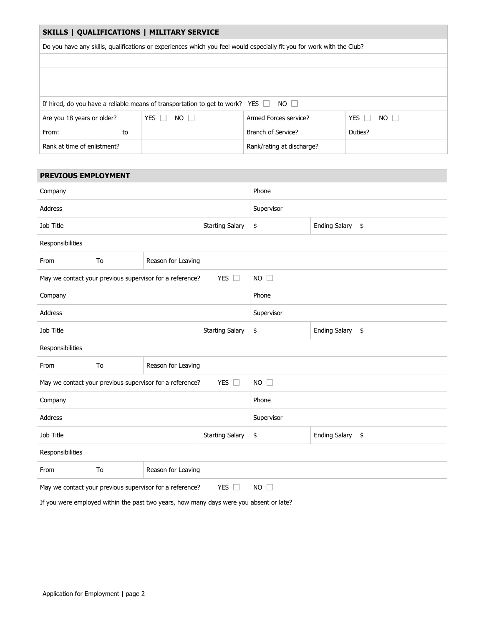### **SKILLS | QUALIFICATIONS | MILITARY SERVICE**

Do you have any skills, qualifications or experiences which you feel would especially fit you for work with the Club?

| If hired, do you have a reliable means of transportation to get to work? YES $\Box$<br>NO II |                           |                           |                           |  |  |
|----------------------------------------------------------------------------------------------|---------------------------|---------------------------|---------------------------|--|--|
| Are you 18 years or older?                                                                   | YES $\Box$<br>$NO$ $\Box$ | Armed Forces service?     | YES $\Box$<br>$NO$ $\Box$ |  |  |
| From:<br>to                                                                                  |                           | Branch of Service?        | Duties?                   |  |  |
| Rank at time of enlistment?                                                                  |                           | Rank/rating at discharge? |                           |  |  |

| <b>PREVIOUS EMPLOYMENT</b>          |    |                                                                                        |                        |                  |                      |    |  |  |
|-------------------------------------|----|----------------------------------------------------------------------------------------|------------------------|------------------|----------------------|----|--|--|
| Company                             |    |                                                                                        | Phone                  |                  |                      |    |  |  |
| <b>Address</b>                      |    |                                                                                        | Supervisor             |                  |                      |    |  |  |
| Job Title                           |    |                                                                                        | \$                     | Ending Salary \$ |                      |    |  |  |
| Responsibilities                    |    |                                                                                        |                        |                  |                      |    |  |  |
| To<br>From<br>Reason for Leaving    |    |                                                                                        |                        |                  |                      |    |  |  |
|                                     |    | May we contact your previous supervisor for a reference?                               | $NO$ $\Box$            |                  |                      |    |  |  |
| Company                             |    |                                                                                        | Phone                  |                  |                      |    |  |  |
| Address                             |    |                                                                                        | Supervisor             |                  |                      |    |  |  |
| Job Title<br><b>Starting Salary</b> |    |                                                                                        |                        | \$               | <b>Ending Salary</b> | \$ |  |  |
| Responsibilities                    |    |                                                                                        |                        |                  |                      |    |  |  |
| From                                | To | Reason for Leaving                                                                     |                        |                  |                      |    |  |  |
|                                     |    | May we contact your previous supervisor for a reference?                               | $NO$ $\Box$            |                  |                      |    |  |  |
| Company                             |    |                                                                                        |                        | Phone            |                      |    |  |  |
| <b>Address</b>                      |    |                                                                                        |                        | Supervisor       |                      |    |  |  |
| Job Title                           |    |                                                                                        | <b>Starting Salary</b> | \$               | Ending Salary \$     |    |  |  |
| Responsibilities                    |    |                                                                                        |                        |                  |                      |    |  |  |
| From                                | To | Reason for Leaving                                                                     |                        |                  |                      |    |  |  |
|                                     |    | May we contact your previous supervisor for a reference?                               | YES $\Box$             | $NO$ $\Box$      |                      |    |  |  |
|                                     |    | If you were employed within the past two years, how many days were you absent or late? |                        |                  |                      |    |  |  |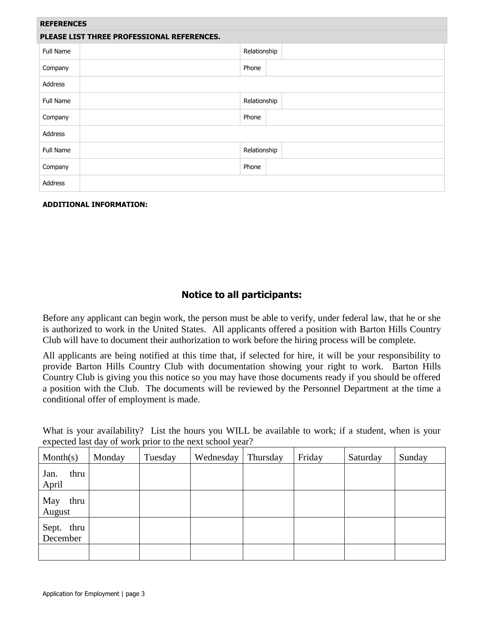| <b>REFERENCES</b>                          |              |  |  |  |  |
|--------------------------------------------|--------------|--|--|--|--|
| PLEASE LIST THREE PROFESSIONAL REFERENCES. |              |  |  |  |  |
| Full Name                                  | Relationship |  |  |  |  |
| Company                                    | Phone        |  |  |  |  |
| Address                                    |              |  |  |  |  |
| Full Name                                  | Relationship |  |  |  |  |
| Company                                    | Phone        |  |  |  |  |
| Address                                    |              |  |  |  |  |
| Full Name                                  | Relationship |  |  |  |  |
| Company                                    | Phone        |  |  |  |  |
| Address                                    |              |  |  |  |  |

## **ADDITIONAL INFORMATION:**

# **Notice to all participants:**

Before any applicant can begin work, the person must be able to verify, under federal law, that he or she is authorized to work in the United States. All applicants offered a position with Barton Hills Country Club will have to document their authorization to work before the hiring process will be complete.

All applicants are being notified at this time that, if selected for hire, it will be your responsibility to provide Barton Hills Country Club with documentation showing your right to work. Barton Hills Country Club is giving you this notice so you may have those documents ready if you should be offered a position with the Club. The documents will be reviewed by the Personnel Department at the time a conditional offer of employment is made.

What is your availability? List the hours you WILL be available to work; if a student, when is your expected last day of work prior to the next school year?

| Month(s)               | Monday | Tuesday | Wednesday | Thursday | Friday | Saturday | Sunday |
|------------------------|--------|---------|-----------|----------|--------|----------|--------|
| thru<br>Jan.<br>April  |        |         |           |          |        |          |        |
| May<br>thru<br>August  |        |         |           |          |        |          |        |
| Sept. thru<br>December |        |         |           |          |        |          |        |
|                        |        |         |           |          |        |          |        |